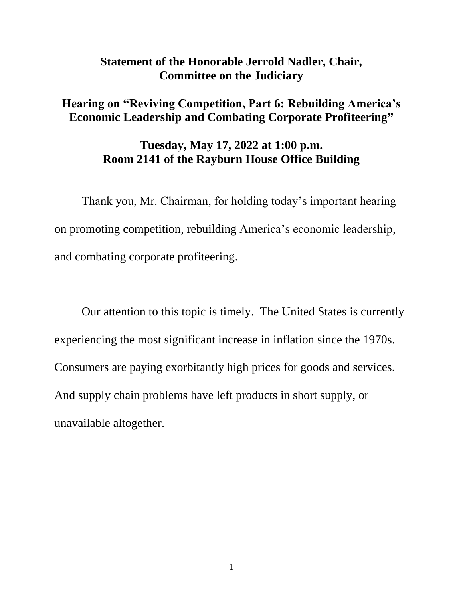## **Statement of the Honorable Jerrold Nadler, Chair, Committee on the Judiciary**

## **Hearing on "Reviving Competition, Part 6: Rebuilding America's Economic Leadership and Combating Corporate Profiteering"**

## **Tuesday, May 17, 2022 at 1:00 p.m. Room 2141 of the Rayburn House Office Building**

Thank you, Mr. Chairman, for holding today's important hearing on promoting competition, rebuilding America's economic leadership, and combating corporate profiteering.

Our attention to this topic is timely. The United States is currently experiencing the most significant increase in inflation since the 1970s. Consumers are paying exorbitantly high prices for goods and services. And supply chain problems have left products in short supply, or unavailable altogether.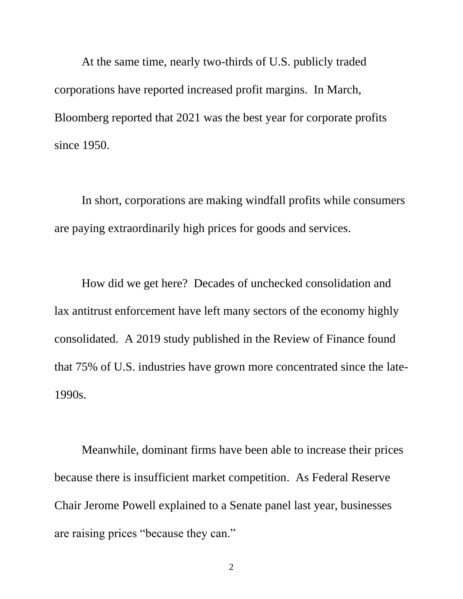At the same time, nearly two-thirds of U.S. publicly traded corporations have reported increased profit margins. In March, Bloomberg reported that 2021 was the best year for corporate profits since 1950.

In short, corporations are making windfall profits while consumers are paying extraordinarily high prices for goods and services.

How did we get here? Decades of unchecked consolidation and lax antitrust enforcement have left many sectors of the economy highly consolidated. A 2019 study published in the Review of Finance found that 75% of U.S. industries have grown more concentrated since the late-1990s.

Meanwhile, dominant firms have been able to increase their prices because there is insufficient market competition. As Federal Reserve Chair Jerome Powell explained to a Senate panel last year, businesses are raising prices "because they can."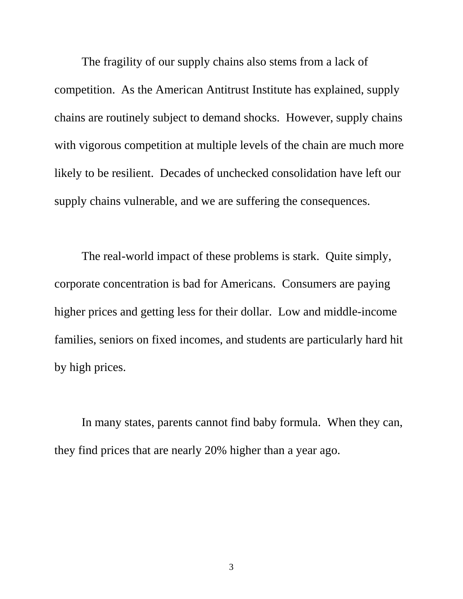The fragility of our supply chains also stems from a lack of competition. As the American Antitrust Institute has explained, supply chains are routinely subject to demand shocks. However, supply chains with vigorous competition at multiple levels of the chain are much more likely to be resilient. Decades of unchecked consolidation have left our supply chains vulnerable, and we are suffering the consequences.

The real-world impact of these problems is stark. Quite simply, corporate concentration is bad for Americans. Consumers are paying higher prices and getting less for their dollar. Low and middle-income families, seniors on fixed incomes, and students are particularly hard hit by high prices.

In many states, parents cannot find baby formula. When they can, they find prices that are nearly 20% higher than a year ago.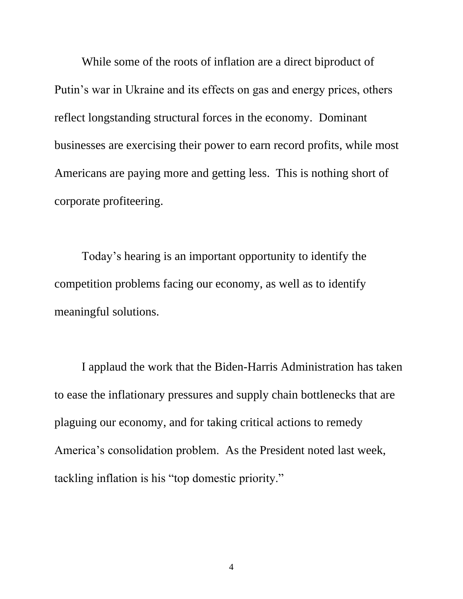While some of the roots of inflation are a direct biproduct of Putin's war in Ukraine and its effects on gas and energy prices, others reflect longstanding structural forces in the economy. Dominant businesses are exercising their power to earn record profits, while most Americans are paying more and getting less. This is nothing short of corporate profiteering.

Today's hearing is an important opportunity to identify the competition problems facing our economy, as well as to identify meaningful solutions.

I applaud the work that the Biden-Harris Administration has taken to ease the inflationary pressures and supply chain bottlenecks that are plaguing our economy, and for taking critical actions to remedy America's consolidation problem. As the President noted last week, tackling inflation is his "top domestic priority."

4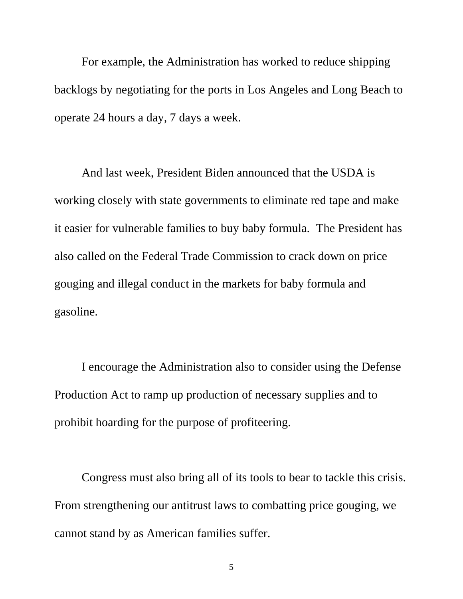For example, the Administration has worked to reduce shipping backlogs by negotiating for the ports in Los Angeles and Long Beach to operate 24 hours a day, 7 days a week.

And last week, President Biden announced that the USDA is working closely with state governments to eliminate red tape and make it easier for vulnerable families to buy baby formula. The President has also called on the Federal Trade Commission to crack down on price gouging and illegal conduct in the markets for baby formula and gasoline.

I encourage the Administration also to consider using the Defense Production Act to ramp up production of necessary supplies and to prohibit hoarding for the purpose of profiteering.

Congress must also bring all of its tools to bear to tackle this crisis. From strengthening our antitrust laws to combatting price gouging, we cannot stand by as American families suffer.

5